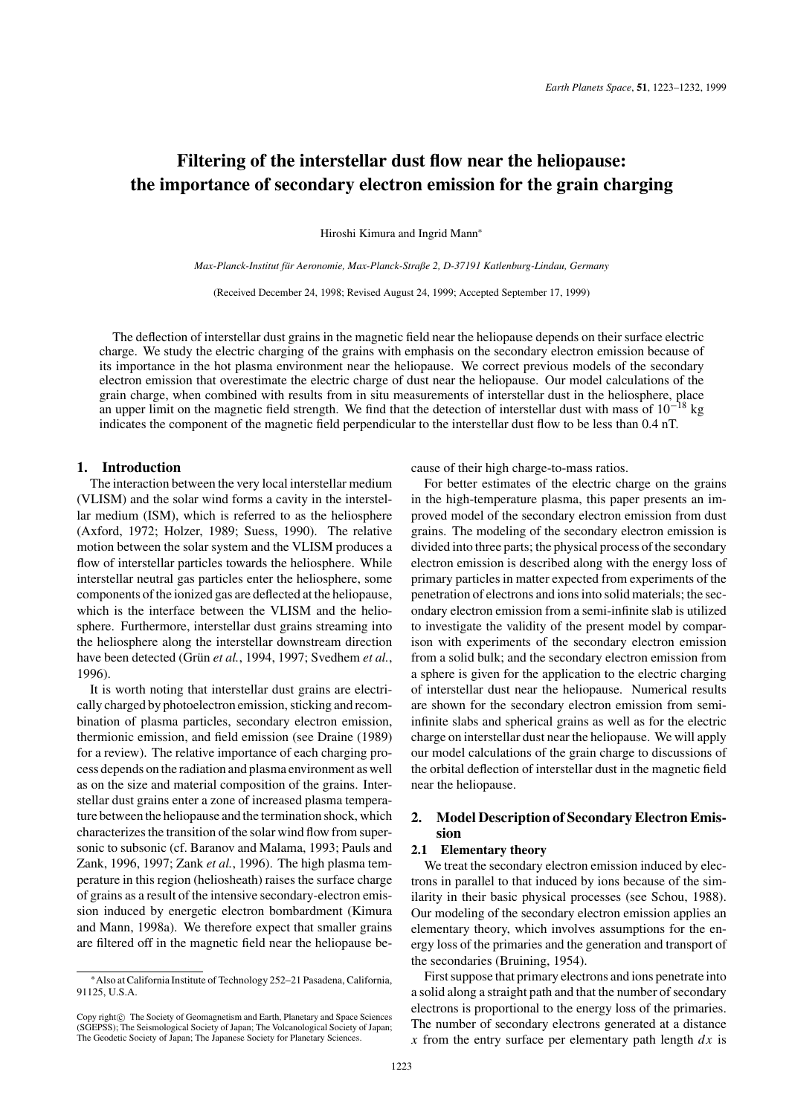# **Filtering of the interstellar dust flow near the heliopause: the importance of secondary electron emission for the grain charging**

Hiroshi Kimura and Ingrid Mann<sup>∗</sup>

*Max-Planck-Institut fur Aeronomie, Max-Planck-Straße 2, D-37191 Katlenburg-Lindau, Germany ¨*

(Received December 24, 1998; Revised August 24, 1999; Accepted September 17, 1999)

The deflection of interstellar dust grains in the magnetic field near the heliopause depends on their surface electric charge. We study the electric charging of the grains with emphasis on the secondary electron emission because of its importance in the hot plasma environment near the heliopause. We correct previous models of the secondary electron emission that overestimate the electric charge of dust near the heliopause. Our model calculations of the grain charge, when combined with results from in situ measurements of interstellar dust in the heliosphere, place an upper limit on the magnetic field strength. We find that the detection of interstellar dust with mass of  $10^{-18}$  kg indicates the component of the magnetic field perpendicular to the interstellar dust flow to be less than 0.4 nT.

# **1. Introduction**

The interaction between the very local interstellar medium (VLISM) and the solar wind forms a cavity in the interstellar medium (ISM), which is referred to as the heliosphere (Axford, 1972; Holzer, 1989; Suess, 1990). The relative motion between the solar system and the VLISM produces a flow of interstellar particles towards the heliosphere. While interstellar neutral gas particles enter the heliosphere, some components of the ionized gas are deflected at the heliopause, which is the interface between the VLISM and the heliosphere. Furthermore, interstellar dust grains streaming into the heliosphere along the interstellar downstream direction have been detected (Grün et al., 1994, 1997; Svedhem et al., 1996).

It is worth noting that interstellar dust grains are electrically charged by photoelectron emission, sticking and recombination of plasma particles, secondary electron emission, thermionic emission, and field emission (see Draine (1989) for a review). The relative importance of each charging process depends on the radiation and plasma environment as well as on the size and material composition of the grains. Interstellar dust grains enter a zone of increased plasma temperature between the heliopause and the termination shock, which characterizes the transition of the solar wind flow from supersonic to subsonic (cf. Baranov and Malama, 1993; Pauls and Zank, 1996, 1997; Zank *et al.*, 1996). The high plasma temperature in this region (heliosheath) raises the surface charge of grains as a result of the intensive secondary-electron emission induced by energetic electron bombardment (Kimura and Mann, 1998a). We therefore expect that smaller grains are filtered off in the magnetic field near the heliopause because of their high charge-to-mass ratios.

For better estimates of the electric charge on the grains in the high-temperature plasma, this paper presents an improved model of the secondary electron emission from dust grains. The modeling of the secondary electron emission is divided into three parts; the physical process of the secondary electron emission is described along with the energy loss of primary particles in matter expected from experiments of the penetration of electrons and ions into solid materials; the secondary electron emission from a semi-infinite slab is utilized to investigate the validity of the present model by comparison with experiments of the secondary electron emission from a solid bulk; and the secondary electron emission from a sphere is given for the application to the electric charging of interstellar dust near the heliopause. Numerical results are shown for the secondary electron emission from semiinfinite slabs and spherical grains as well as for the electric charge on interstellar dust near the heliopause. We will apply our model calculations of the grain charge to discussions of the orbital deflection of interstellar dust in the magnetic field near the heliopause.

# **2. Model Description of Secondary Electron Emission**

## **2.1 Elementary theory**

We treat the secondary electron emission induced by electrons in parallel to that induced by ions because of the similarity in their basic physical processes (see Schou, 1988). Our modeling of the secondary electron emission applies an elementary theory, which involves assumptions for the energy loss of the primaries and the generation and transport of the secondaries (Bruining, 1954).

First suppose that primary electrons and ions penetrate into a solid along a straight path and that the number of secondary electrons is proportional to the energy loss of the primaries. The number of secondary electrons generated at a distance *x* from the entry surface per elementary path length *dx* is

<sup>∗</sup>Also at California Institute of Technology 252–21 Pasadena, California, 91125, U.S.A.

Copy right $\odot$  The Society of Geomagnetism and Earth, Planetary and Space Sciences (SGEPSS); The Seismological Society of Japan; The Volcanological Society of Japan; The Geodetic Society of Japan; The Japanese Society for Planetary Sciences.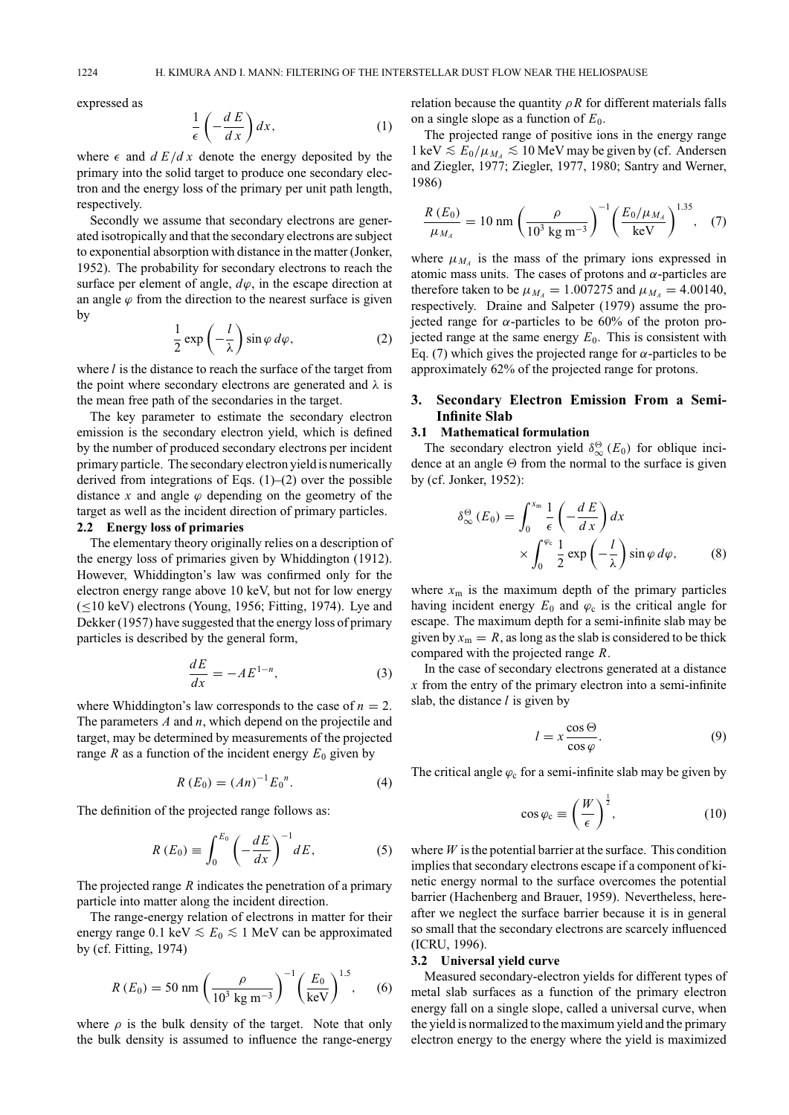expressed as

$$
\frac{1}{\epsilon} \left( -\frac{d}{dx} \right) dx, \tag{1}
$$

where  $\epsilon$  and  $dE/dx$  denote the energy deposited by the primary into the solid target to produce one secondary electron and the energy loss of the primary per unit path length, respectively.

Secondly we assume that secondary electrons are generated isotropically and that the secondary electrons are subject to exponential absorption with distance in the matter (Jonker, 1952). The probability for secondary electrons to reach the surface per element of angle,  $d\varphi$ , in the escape direction at an angle  $\varphi$  from the direction to the nearest surface is given by

$$
\frac{1}{2}\exp\left(-\frac{l}{\lambda}\right)\sin\varphi\,d\varphi,\tag{2}
$$

where *l* is the distance to reach the surface of the target from the point where secondary electrons are generated and  $\lambda$  is the mean free path of the secondaries in the target.

The key parameter to estimate the secondary electron emission is the secondary electron yield, which is defined by the number of produced secondary electrons per incident primary particle. The secondary electron yield is numerically derived from integrations of Eqs.  $(1)$ – $(2)$  over the possible distance x and angle  $\varphi$  depending on the geometry of the target as well as the incident direction of primary particles. **2.2 Energy loss of primaries**

The elementary theory originally relies on a description of the energy loss of primaries given by Whiddington (1912). However, Whiddington's law was confirmed only for the electron energy range above 10 keV, but not for low energy  $(\leq 10 \text{ keV})$  electrons (Young, 1956; Fitting, 1974). Lye and Dekker (1957) have suggested that the energy loss of primary particles is described by the general form,

$$
\frac{dE}{dx} = -AE^{1-n},\tag{3}
$$

where Whiddington's law corresponds to the case of  $n = 2$ . The parameters *A* and *n*, which depend on the projectile and target, may be determined by measurements of the projected range *R* as a function of the incident energy  $E_0$  given by

$$
R(E_0) = (An)^{-1} E_0^n.
$$
 (4)

The definition of the projected range follows as:

$$
R(E_0) \equiv \int_0^{E_0} \left(-\frac{dE}{dx}\right)^{-1} dE,\tag{5}
$$

The projected range *R* indicates the penetration of a primary particle into matter along the incident direction.

The range-energy relation of electrons in matter for their energy range 0.1 keV  $\le E_0 \le 1$  MeV can be approximated by (cf. Fitting, 1974)

$$
R(E_0) = 50 \text{ nm} \left(\frac{\rho}{10^3 \text{ kg m}^{-3}}\right)^{-1} \left(\frac{E_0}{\text{keV}}\right)^{1.5}, \quad (6)
$$

where  $\rho$  is the bulk density of the target. Note that only the bulk density is assumed to influence the range-energy relation because the quantity  $\rho R$  for different materials falls on a single slope as a function of  $E_0$ .

The projected range of positive ions in the energy range 1 keV  $\le E_0/\mu$ <sub>*M*A</sub>  $\le 10$  MeV may be given by (cf. Andersen and Ziegler, 1977; Ziegler, 1977, 1980; Santry and Werner, 1986)

$$
\frac{R(E_0)}{\mu_{M_A}} = 10 \text{ nm} \left(\frac{\rho}{10^3 \text{ kg m}^{-3}}\right)^{-1} \left(\frac{E_0/\mu_{M_A}}{\text{keV}}\right)^{1.35}, (7)
$$

where  $\mu_{M_A}$  is the mass of the primary ions expressed in atomic mass units. The cases of protons and  $\alpha$ -particles are therefore taken to be  $\mu_{M_4} = 1.007275$  and  $\mu_{M_4} = 4.00140$ , respectively. Draine and Salpeter (1979) assume the projected range for  $\alpha$ -particles to be 60% of the proton projected range at the same energy  $E_0$ . This is consistent with Eq. (7) which gives the projected range for  $\alpha$ -particles to be approximately 62% of the projected range for protons.

# **3. Secondary Electron Emission From a Semi-Infinite Slab**

#### **3.1 Mathematical formulation**

The secondary electron yield  $\delta^{\Theta}_{\infty}(E_0)$  for oblique incidence at an angle  $\Theta$  from the normal to the surface is given by (cf. Jonker, 1952):

$$
\delta_{\infty}^{\Theta}(E_0) = \int_0^{x_m} \frac{1}{\epsilon} \left( -\frac{dE}{dx} \right) dx
$$

$$
\times \int_0^{\varphi_c} \frac{1}{2} \exp\left( -\frac{l}{\lambda} \right) \sin \varphi \, d\varphi, \qquad (8)
$$

where  $x_m$  is the maximum depth of the primary particles having incident energy  $E_0$  and  $\varphi_c$  is the critical angle for escape. The maximum depth for a semi-infinite slab may be given by  $x_m = R$ , as long as the slab is considered to be thick compared with the projected range *R*.

In the case of secondary electrons generated at a distance *x* from the entry of the primary electron into a semi-infinite slab, the distance *l* is given by

$$
l = x \frac{\cos \Theta}{\cos \varphi}.
$$
 (9)

The critical angle  $\varphi_c$  for a semi-infinite slab may be given by

$$
\cos \varphi_{\rm c} \equiv \left(\frac{W}{\epsilon}\right)^{\frac{1}{2}},\tag{10}
$$

where  $W$  is the potential barrier at the surface. This condition implies that secondary electrons escape if a component of kinetic energy normal to the surface overcomes the potential barrier (Hachenberg and Brauer, 1959). Nevertheless, hereafter we neglect the surface barrier because it is in general so small that the secondary electrons are scarcely influenced (ICRU, 1996).

### **3.2 Universal yield curve**

Measured secondary-electron yields for different types of metal slab surfaces as a function of the primary electron energy fall on a single slope, called a universal curve, when the yield is normalized to the maximum yield and the primary electron energy to the energy where the yield is maximized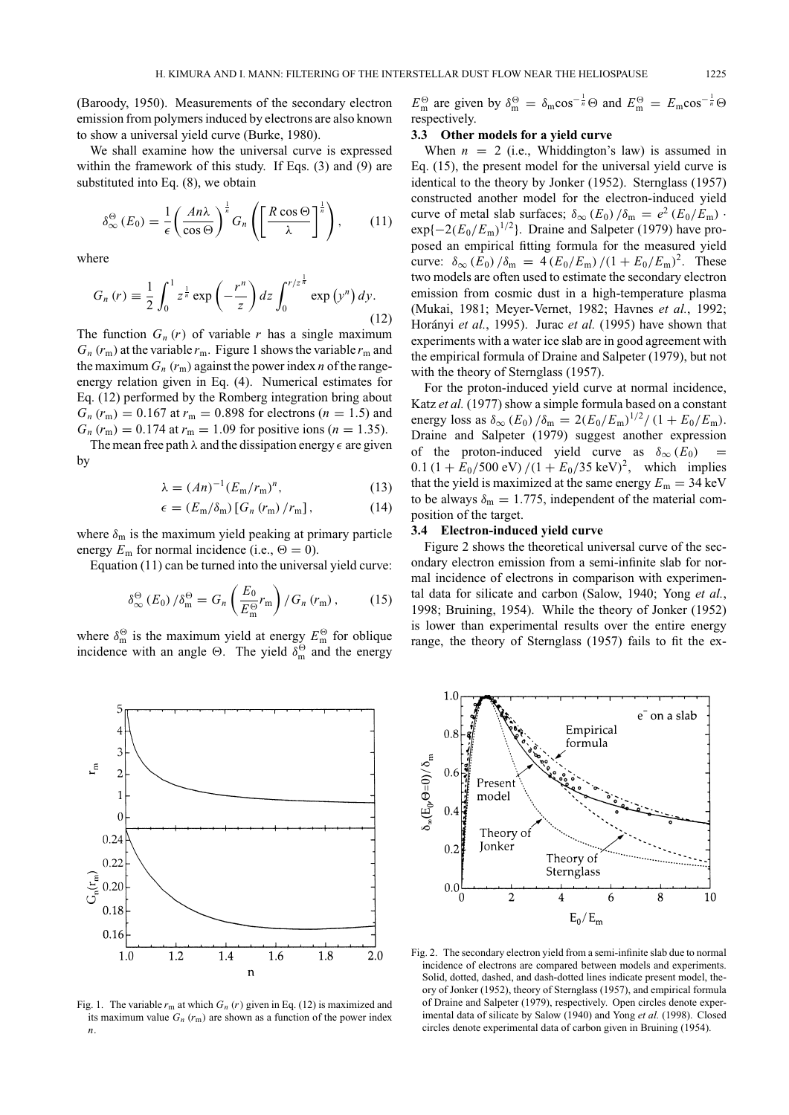(Baroody, 1950). Measurements of the secondary electron emission from polymers induced by electrons are also known to show a universal yield curve (Burke, 1980).

We shall examine how the universal curve is expressed within the framework of this study. If Eqs. (3) and (9) are substituted into Eq. (8), we obtain

$$
\delta_{\infty}^{\Theta}(E_0) = \frac{1}{\epsilon} \left( \frac{An\lambda}{\cos \Theta} \right)^{\frac{1}{n}} G_n \left( \left[ \frac{R \cos \Theta}{\lambda} \right]^{\frac{1}{n}} \right), \quad (11)
$$

where

$$
G_n(r) \equiv \frac{1}{2} \int_0^1 z^{\frac{1}{n}} \exp\left(-\frac{r^n}{z}\right) dz \int_0^{r/z^{\frac{1}{n}}} \exp\left(y^n\right) dy. \tag{12}
$$

The function  $G_n(r)$  of variable *r* has a single maximum  $G_n(r_m)$  at the variable  $r_m$ . Figure 1 shows the variable  $r_m$  and the maximum  $G_n(r_m)$  against the power index *n* of the rangeenergy relation given in Eq. (4). Numerical estimates for Eq. (12) performed by the Romberg integration bring about  $G_n(r_m) = 0.167$  at  $r_m = 0.898$  for electrons (*n* = 1.5) and  $G_n(r_m) = 0.174$  at  $r_m = 1.09$  for positive ions (*n* = 1.35).

The mean free path  $\lambda$  and the dissipation energy  $\epsilon$  are given by

$$
\lambda = (An)^{-1} (E_m/r_m)^n, \tag{13}
$$

$$
\epsilon = (E_{\rm m}/\delta_{\rm m}) [G_n (r_{\rm m})/r_{\rm m}], \qquad (14)
$$

where  $\delta_{\rm m}$  is the maximum yield peaking at primary particle energy  $E_m$  for normal incidence (i.e.,  $\Theta = 0$ ).

Equation (11) can be turned into the universal yield curve:

$$
\delta_{\infty}^{\Theta} (E_0) / \delta_{\rm m}^{\Theta} = G_n \left( \frac{E_0}{E_{\rm m}^{\Theta}} r_{\rm m} \right) / G_n \left( r_{\rm m} \right), \tag{15}
$$

where  $\delta_m^{\Theta}$  is the maximum yield at energy  $E_m^{\Theta}$  for oblique incidence with an angle  $\Theta$ . The yield  $\delta_m^{\Theta}$  and the energy



Fig. 1. The variable  $r_m$  at which  $G_n$  ( $r$ ) given in Eq. (12) is maximized and its maximum value  $G_n(r_m)$  are shown as a function of the power index *n*.

 $E_m^{\Theta}$  are given by  $\delta_m^{\Theta} = \delta_m \cos^{-\frac{1}{n}} \Theta$  and  $E_m^{\Theta} = E_m \cos^{-\frac{1}{n}} \Theta$ respectively.

# **3.3 Other models for a yield curve**

When  $n = 2$  (i.e., Whiddington's law) is assumed in Eq. (15), the present model for the universal yield curve is identical to the theory by Jonker (1952). Sternglass (1957) constructed another model for the electron-induced yield curve of metal slab surfaces;  $\delta_{\infty}$  (*E*<sub>0</sub>) / $\delta_{\rm m}$  =  $e^2$  (*E*<sub>0</sub>/*E*<sub>m</sub>) ·  $\exp\{-2(E_0/E_m)^{1/2}\}\.$  Draine and Salpeter (1979) have proposed an empirical fitting formula for the measured yield curve:  $\delta_{\infty}$  (*E*<sub>0</sub>) / $\delta_{\text{m}}$  = 4 (*E*<sub>0</sub>/*E*<sub>m</sub>) /(1 + *E*<sub>0</sub>/*E*<sub>m</sub>)<sup>2</sup>. These two models are often used to estimate the secondary electron emission from cosmic dust in a high-temperature plasma (Mukai, 1981; Meyer-Vernet, 1982; Havnes *et al.*, 1992; Horányi et al., 1995). Jurac et al. (1995) have shown that experiments with a water ice slab are in good agreement with the empirical formula of Draine and Salpeter (1979), but not with the theory of Sternglass (1957).

For the proton-induced yield curve at normal incidence, Katz *et al.* (1977) show a simple formula based on a constant energy loss as  $\delta_{\infty}$  (*E*<sub>0</sub>) / $\delta_{\text{m}} = 2(E_0/E_{\text{m}})^{1/2}/(1 + E_0/E_{\text{m}})$ . Draine and Salpeter (1979) suggest another expression of the proton-induced yield curve as  $\delta_{\infty}$  ( $E_0$ ) =  $0.1 (1 + E_0/500 \text{ eV})/(1 + E_0/35 \text{ keV})^2$ , which implies that the yield is maximized at the same energy  $E_m = 34 \text{ keV}$ to be always  $\delta_{\rm m} = 1.775$ , independent of the material composition of the target.

#### **3.4 Electron-induced yield curve**

Figure 2 shows the theoretical universal curve of the secondary electron emission from a semi-infinite slab for normal incidence of electrons in comparison with experimental data for silicate and carbon (Salow, 1940; Yong *et al.*, 1998; Bruining, 1954). While the theory of Jonker (1952) is lower than experimental results over the entire energy range, the theory of Sternglass (1957) fails to fit the ex-



Fig. 2. The secondary electron yield from a semi-infinite slab due to normal incidence of electrons are compared between models and experiments. Solid, dotted, dashed, and dash-dotted lines indicate present model, theory of Jonker (1952), theory of Sternglass (1957), and empirical formula of Draine and Salpeter (1979), respectively. Open circles denote experimental data of silicate by Salow (1940) and Yong *et al.* (1998). Closed circles denote experimental data of carbon given in Bruining (1954).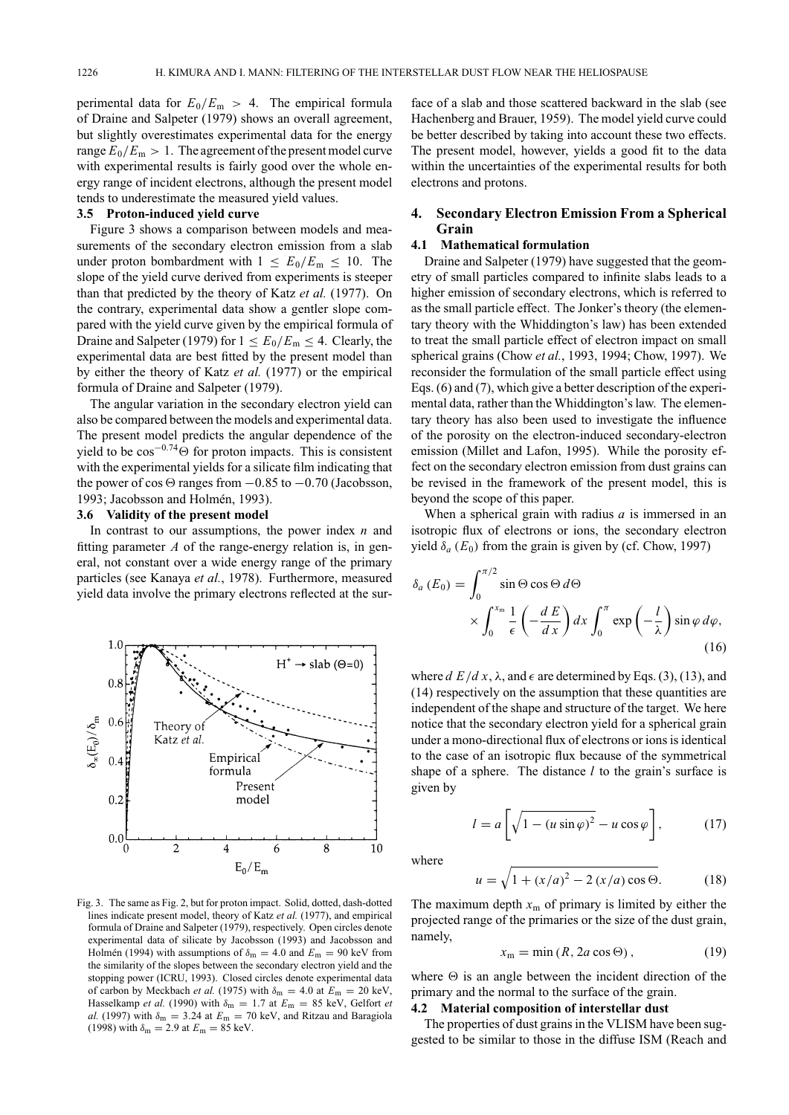perimental data for  $E_0/E_m > 4$ . The empirical formula of Draine and Salpeter (1979) shows an overall agreement, but slightly overestimates experimental data for the energy range  $E_0/E_m > 1$ . The agreement of the present model curve with experimental results is fairly good over the whole energy range of incident electrons, although the present model tends to underestimate the measured yield values.

#### **3.5 Proton-induced yield curve**

Figure 3 shows a comparison between models and measurements of the secondary electron emission from a slab under proton bombardment with  $1 \le E_0/E_m \le 10$ . The slope of the yield curve derived from experiments is steeper than that predicted by the theory of Katz *et al.* (1977). On the contrary, experimental data show a gentler slope compared with the yield curve given by the empirical formula of Draine and Salpeter (1979) for  $1 \le E_0/E_m \le 4$ . Clearly, the experimental data are best fitted by the present model than by either the theory of Katz *et al.* (1977) or the empirical formula of Draine and Salpeter (1979).

The angular variation in the secondary electron yield can also be compared between the models and experimental data. The present model predicts the angular dependence of the yield to be  $cos^{-0.74}$  $\Theta$  for proton impacts. This is consistent with the experimental yields for a silicate film indicating that the power of cos  $\Theta$  ranges from  $-0.85$  to  $-0.70$  (Jacobsson, 1993; Jacobsson and Holmén, 1993).

#### **3.6 Validity of the present model**

In contrast to our assumptions, the power index *n* and fitting parameter *A* of the range-energy relation is, in general, not constant over a wide energy range of the primary particles (see Kanaya *et al.*, 1978). Furthermore, measured yield data involve the primary electrons reflected at the sur-



Fig. 3. The same as Fig. 2, but for proton impact. Solid, dotted, dash-dotted lines indicate present model, theory of Katz *et al.* (1977), and empirical formula of Draine and Salpeter (1979), respectively. Open circles denote experimental data of silicate by Jacobsson (1993) and Jacobsson and Holmén (1994) with assumptions of  $\delta_{\rm m} = 4.0$  and  $E_{\rm m} = 90$  keV from the similarity of the slopes between the secondary electron yield and the stopping power (ICRU, 1993). Closed circles denote experimental data of carbon by Meckbach *et al.* (1975) with  $\delta_{\rm m} = 4.0$  at  $E_{\rm m} = 20$  keV, Hasselkamp *et al.* (1990) with  $\delta_{\rm m} = 1.7$  at  $E_{\rm m} = 85$  keV, Gelfort *et al.* (1997) with  $\delta_{\rm m} = 3.24$  at  $E_{\rm m} = 70$  keV, and Ritzau and Baragiola (1998) with  $\delta_{\rm m} = 2.9$  at  $E_{\rm m} = 85$  keV.

face of a slab and those scattered backward in the slab (see Hachenberg and Brauer, 1959). The model yield curve could be better described by taking into account these two effects. The present model, however, yields a good fit to the data within the uncertainties of the experimental results for both electrons and protons.

# **4. Secondary Electron Emission From a Spherical Grain**

# **4.1 Mathematical formulation**

Draine and Salpeter (1979) have suggested that the geometry of small particles compared to infinite slabs leads to a higher emission of secondary electrons, which is referred to as the small particle effect. The Jonker's theory (the elementary theory with the Whiddington's law) has been extended to treat the small particle effect of electron impact on small spherical grains (Chow *et al.*, 1993, 1994; Chow, 1997). We reconsider the formulation of the small particle effect using Eqs. (6) and (7), which give a better description of the experimental data, rather than the Whiddington's law. The elementary theory has also been used to investigate the influence of the porosity on the electron-induced secondary-electron emission (Millet and Lafon, 1995). While the porosity effect on the secondary electron emission from dust grains can be revised in the framework of the present model, this is beyond the scope of this paper.

When a spherical grain with radius *a* is immersed in an isotropic flux of electrons or ions, the secondary electron yield  $\delta_a$  ( $E_0$ ) from the grain is given by (cf. Chow, 1997)

$$
\delta_a(E_0) = \int_0^{\pi/2} \sin \Theta \cos \Theta \, d\Theta
$$
  
 
$$
\times \int_0^{x_m} \frac{1}{\epsilon} \left( -\frac{dE}{dx} \right) dx \int_0^{\pi} \exp\left( -\frac{l}{\lambda} \right) \sin \varphi \, d\varphi,
$$
 (16)

where  $d E/dx$ ,  $\lambda$ , and  $\epsilon$  are determined by Eqs. (3), (13), and (14) respectively on the assumption that these quantities are independent of the shape and structure of the target. We here notice that the secondary electron yield for a spherical grain under a mono-directional flux of electrons or ions is identical to the case of an isotropic flux because of the symmetrical shape of a sphere. The distance *l* to the grain's surface is given by

$$
l = a \left[ \sqrt{1 - (u \sin \varphi)^2} - u \cos \varphi \right],\tag{17}
$$

where

$$
u = \sqrt{1 + (x/a)^2 - 2(x/a)\cos\Theta}.
$$
 (18)

The maximum depth  $x_m$  of primary is limited by either the projected range of the primaries or the size of the dust grain, namely,

$$
x_{\rm m} = \min\left(R, 2a\cos\Theta\right),\tag{19}
$$

where  $\Theta$  is an angle between the incident direction of the primary and the normal to the surface of the grain.

#### **4.2 Material composition of interstellar dust**

The properties of dust grains in the VLISM have been suggested to be similar to those in the diffuse ISM (Reach and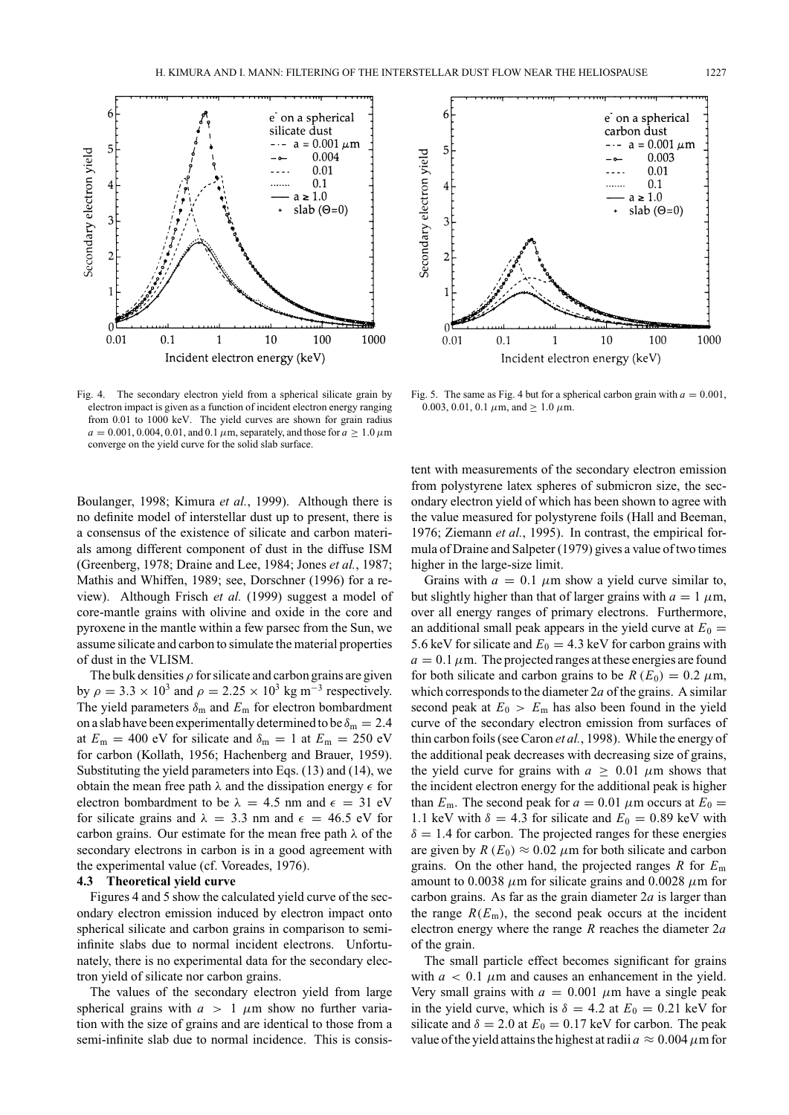

Fig. 4. The secondary electron yield from a spherical silicate grain by electron impact is given as a function of incident electron energy ranging from 0.01 to 1000 keV. The yield curves are shown for grain radius  $a = 0.001, 0.004, 0.01,$  and 0.1  $\mu$ m, separately, and those for  $a \ge 1.0 \,\mu$ m converge on the yield curve for the solid slab surface.

Boulanger, 1998; Kimura *et al.*, 1999). Although there is no definite model of interstellar dust up to present, there is a consensus of the existence of silicate and carbon materials among different component of dust in the diffuse ISM (Greenberg, 1978; Draine and Lee, 1984; Jones *et al.*, 1987; Mathis and Whiffen, 1989; see, Dorschner (1996) for a review). Although Frisch *et al.* (1999) suggest a model of core-mantle grains with olivine and oxide in the core and pyroxene in the mantle within a few parsec from the Sun, we assume silicate and carbon to simulate the material properties of dust in the VLISM.

The bulk densities  $\rho$  for silicate and carbon grains are given by  $\rho = 3.3 \times 10^3$  and  $\rho = 2.25 \times 10^3$  kg m<sup>-3</sup> respectively. The yield parameters  $\delta_{\rm m}$  and  $E_{\rm m}$  for electron bombardment on a slab have been experimentally determined to be  $\delta_{\rm m} = 2.4$ at  $E_m = 400$  eV for silicate and  $\delta_m = 1$  at  $E_m = 250$  eV for carbon (Kollath, 1956; Hachenberg and Brauer, 1959). Substituting the yield parameters into Eqs. (13) and (14), we obtain the mean free path  $\lambda$  and the dissipation energy  $\epsilon$  for electron bombardment to be  $\lambda = 4.5$  nm and  $\epsilon = 31$  eV for silicate grains and  $\lambda = 3.3$  nm and  $\epsilon = 46.5$  eV for carbon grains. Our estimate for the mean free path  $\lambda$  of the secondary electrons in carbon is in a good agreement with the experimental value (cf. Voreades, 1976).

#### **4.3 Theoretical yield curve**

Figures 4 and 5 show the calculated yield curve of the secondary electron emission induced by electron impact onto spherical silicate and carbon grains in comparison to semiinfinite slabs due to normal incident electrons. Unfortunately, there is no experimental data for the secondary electron yield of silicate nor carbon grains.

The values of the secondary electron yield from large spherical grains with  $a > 1$   $\mu$ m show no further variation with the size of grains and are identical to those from a semi-infinite slab due to normal incidence. This is consis-



Fig. 5. The same as Fig. 4 but for a spherical carbon grain with  $a = 0.001$ , 0.003, 0.01, 0.1  $\mu$ m, and > 1.0  $\mu$ m.

tent with measurements of the secondary electron emission from polystyrene latex spheres of submicron size, the secondary electron yield of which has been shown to agree with the value measured for polystyrene foils (Hall and Beeman, 1976; Ziemann *et al.*, 1995). In contrast, the empirical formula of Draine and Salpeter (1979) gives a value of two times higher in the large-size limit.

Grains with  $a = 0.1 \mu m$  show a yield curve similar to, but slightly higher than that of larger grains with  $a = 1 \mu m$ , over all energy ranges of primary electrons. Furthermore, an additional small peak appears in the yield curve at  $E_0 =$ 5.6 keV for silicate and  $E_0 = 4.3$  keV for carbon grains with  $a = 0.1 \mu$ m. The projected ranges at these energies are found for both silicate and carbon grains to be  $R(E_0) = 0.2 \mu m$ , which corresponds to the diameter 2*a* of the grains. A similar second peak at  $E_0 > E_m$  has also been found in the yield curve of the secondary electron emission from surfaces of thin carbon foils (see Caron *et al.*, 1998). While the energy of the additional peak decreases with decreasing size of grains, the yield curve for grains with  $a \geq 0.01 \mu m$  shows that the incident electron energy for the additional peak is higher than  $E_m$ . The second peak for  $a = 0.01 \mu m$  occurs at  $E_0 =$ 1.1 keV with  $\delta = 4.3$  for silicate and  $E_0 = 0.89$  keV with  $\delta = 1.4$  for carbon. The projected ranges for these energies are given by  $R(E_0) \approx 0.02 \mu m$  for both silicate and carbon grains. On the other hand, the projected ranges *R* for *E*<sup>m</sup> amount to 0.0038  $\mu$ m for silicate grains and 0.0028  $\mu$ m for carbon grains. As far as the grain diameter 2*a* is larger than the range  $R(E_m)$ , the second peak occurs at the incident electron energy where the range *R* reaches the diameter 2*a* of the grain.

The small particle effect becomes significant for grains with  $a < 0.1 \mu$ m and causes an enhancement in the yield. Very small grains with  $a = 0.001 \mu m$  have a single peak in the yield curve, which is  $\delta = 4.2$  at  $E_0 = 0.21$  keV for silicate and  $\delta = 2.0$  at  $E_0 = 0.17$  keV for carbon. The peak value of the yield attains the highest at radii  $a \approx 0.004 \,\mu\text{m}$  for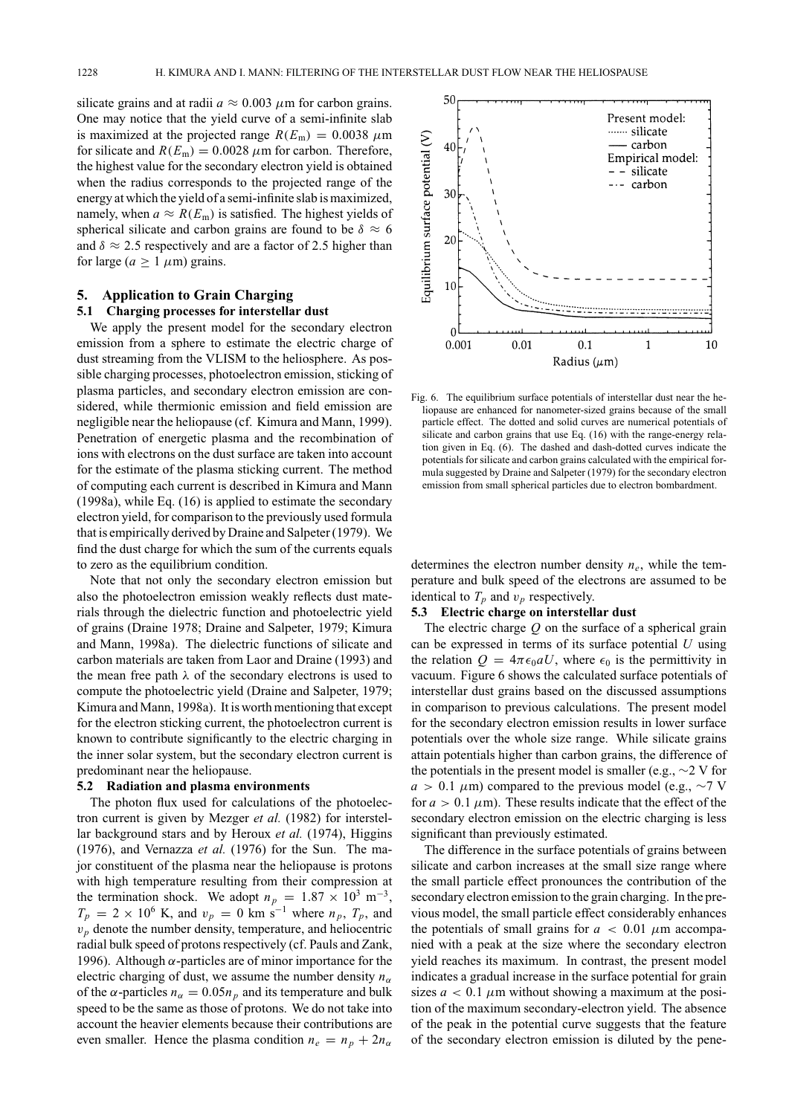silicate grains and at radii  $a \approx 0.003 \mu$ m for carbon grains. One may notice that the yield curve of a semi-infinite slab is maximized at the projected range  $R(E_m) = 0.0038 \mu m$ for silicate and  $R(E_m) = 0.0028 \ \mu \text{m}$  for carbon. Therefore, the highest value for the secondary electron yield is obtained when the radius corresponds to the projected range of the energy at which the yield of a semi-infinite slab is maximized, namely, when  $a \approx R(E_m)$  is satisfied. The highest yields of spherical silicate and carbon grains are found to be  $\delta \approx 6$ and  $\delta \approx 2.5$  respectively and are a factor of 2.5 higher than for large ( $a \ge 1 \ \mu$ m) grains.

# **5. Application to Grain Charging**

#### **5.1 Charging processes for interstellar dust**

We apply the present model for the secondary electron emission from a sphere to estimate the electric charge of dust streaming from the VLISM to the heliosphere. As possible charging processes, photoelectron emission, sticking of plasma particles, and secondary electron emission are considered, while thermionic emission and field emission are negligible near the heliopause (cf. Kimura and Mann, 1999). Penetration of energetic plasma and the recombination of ions with electrons on the dust surface are taken into account for the estimate of the plasma sticking current. The method of computing each current is described in Kimura and Mann (1998a), while Eq. (16) is applied to estimate the secondary electron yield, for comparison to the previously used formula that is empirically derived by Draine and Salpeter (1979). We find the dust charge for which the sum of the currents equals to zero as the equilibrium condition.

Note that not only the secondary electron emission but also the photoelectron emission weakly reflects dust materials through the dielectric function and photoelectric yield of grains (Draine 1978; Draine and Salpeter, 1979; Kimura and Mann, 1998a). The dielectric functions of silicate and carbon materials are taken from Laor and Draine (1993) and the mean free path  $\lambda$  of the secondary electrons is used to compute the photoelectric yield (Draine and Salpeter, 1979; Kimura and Mann, 1998a). It is worth mentioning that except for the electron sticking current, the photoelectron current is known to contribute significantly to the electric charging in the inner solar system, but the secondary electron current is predominant near the heliopause.

#### **5.2 Radiation and plasma environments**

The photon flux used for calculations of the photoelectron current is given by Mezger *et al.* (1982) for interstellar background stars and by Heroux *et al.* (1974), Higgins (1976), and Vernazza *et al.* (1976) for the Sun. The major constituent of the plasma near the heliopause is protons with high temperature resulting from their compression at the termination shock. We adopt  $n_p = 1.87 \times 10^3$  m<sup>-3</sup>,  $T_p = 2 \times 10^6$  K, and  $v_p = 0$  km s<sup>-1</sup> where  $n_p$ ,  $T_p$ , and  $v<sub>p</sub>$  denote the number density, temperature, and heliocentric radial bulk speed of protons respectively (cf. Pauls and Zank, 1996). Although  $\alpha$ -particles are of minor importance for the electric charging of dust, we assume the number density  $n_{\alpha}$ of the  $\alpha$ -particles  $n_{\alpha} = 0.05n_p$  and its temperature and bulk speed to be the same as those of protons. We do not take into account the heavier elements because their contributions are even smaller. Hence the plasma condition  $n_e = n_p + 2n_\alpha$ 



Fig. 6. The equilibrium surface potentials of interstellar dust near the heliopause are enhanced for nanometer-sized grains because of the small particle effect. The dotted and solid curves are numerical potentials of silicate and carbon grains that use Eq. (16) with the range-energy relation given in Eq. (6). The dashed and dash-dotted curves indicate the potentials for silicate and carbon grains calculated with the empirical formula suggested by Draine and Salpeter (1979) for the secondary electron emission from small spherical particles due to electron bombardment.

determines the electron number density *ne*, while the temperature and bulk speed of the electrons are assumed to be identical to  $T_p$  and  $v_p$  respectively.

#### **5.3 Electric charge on interstellar dust**

The electric charge *Q* on the surface of a spherical grain can be expressed in terms of its surface potential *U* using the relation  $Q = 4\pi\epsilon_0 a U$ , where  $\epsilon_0$  is the permittivity in vacuum. Figure 6 shows the calculated surface potentials of interstellar dust grains based on the discussed assumptions in comparison to previous calculations. The present model for the secondary electron emission results in lower surface potentials over the whole size range. While silicate grains attain potentials higher than carbon grains, the difference of the potentials in the present model is smaller (e.g.,  $\sim$ 2 V for  $a > 0.1 \mu m$ ) compared to the previous model (e.g., ~7 V for  $a > 0.1 \mu$ m). These results indicate that the effect of the secondary electron emission on the electric charging is less significant than previously estimated.

The difference in the surface potentials of grains between silicate and carbon increases at the small size range where the small particle effect pronounces the contribution of the secondary electron emission to the grain charging. In the previous model, the small particle effect considerably enhances the potentials of small grains for  $a < 0.01 \mu m$  accompanied with a peak at the size where the secondary electron yield reaches its maximum. In contrast, the present model indicates a gradual increase in the surface potential for grain sizes  $a < 0.1 \mu$ m without showing a maximum at the position of the maximum secondary-electron yield. The absence of the peak in the potential curve suggests that the feature of the secondary electron emission is diluted by the pene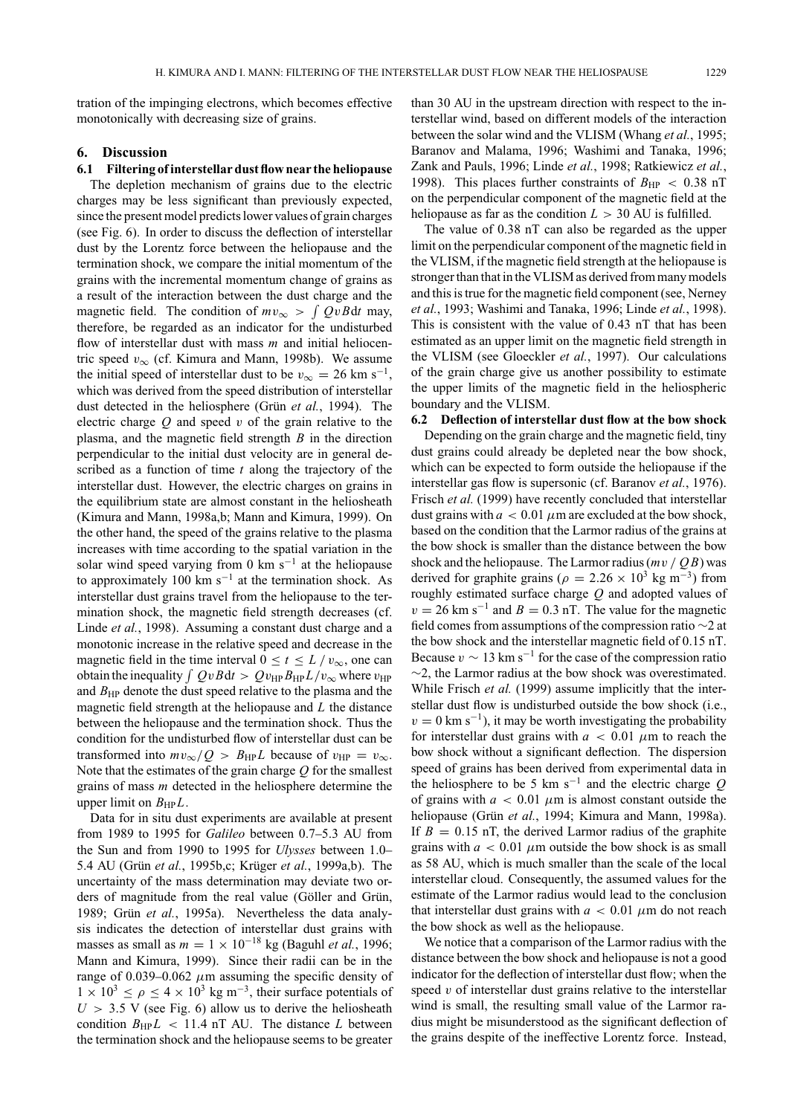tration of the impinging electrons, which becomes effective monotonically with decreasing size of grains.

# **6. Discussion**

## **6.1 Filtering of interstellar dust flow near the heliopause**

The depletion mechanism of grains due to the electric charges may be less significant than previously expected, since the present model predicts lower values of grain charges (see Fig. 6). In order to discuss the deflection of interstellar dust by the Lorentz force between the heliopause and the termination shock, we compare the initial momentum of the grains with the incremental momentum change of grains as a result of the interaction between the dust charge and the magnetic field. The condition of  $mv_{\infty} > \int QvBdt$  may, therefore, be regarded as an indicator for the undisturbed flow of interstellar dust with mass *m* and initial heliocentric speed  $v_{\infty}$  (cf. Kimura and Mann, 1998b). We assume the initial speed of interstellar dust to be  $v_{\infty} = 26$  km s<sup>-1</sup>, which was derived from the speed distribution of interstellar dust detected in the heliosphere (Grün et al., 1994). The electric charge *Q* and speed v of the grain relative to the plasma, and the magnetic field strength *B* in the direction perpendicular to the initial dust velocity are in general described as a function of time *t* along the trajectory of the interstellar dust. However, the electric charges on grains in the equilibrium state are almost constant in the heliosheath (Kimura and Mann, 1998a,b; Mann and Kimura, 1999). On the other hand, the speed of the grains relative to the plasma increases with time according to the spatial variation in the solar wind speed varying from 0 km s−<sup>1</sup> at the heliopause to approximately 100 km  $s^{-1}$  at the termination shock. As interstellar dust grains travel from the heliopause to the termination shock, the magnetic field strength decreases (cf. Linde *et al.*, 1998). Assuming a constant dust charge and a monotonic increase in the relative speed and decrease in the magnetic field in the time interval  $0 \le t \le L/v_{\infty}$ , one can obtain the inequality  $\int QvBdt > Qv_{HP}B_{HP}L/v_{\infty}$  where  $v_{HP}$ and  $B_{HP}$  denote the dust speed relative to the plasma and the magnetic field strength at the heliopause and *L* the distance between the heliopause and the termination shock. Thus the condition for the undisturbed flow of interstellar dust can be transformed into  $mv_{\infty}/Q > B_{HP}L$  because of  $v_{HP} = v_{\infty}$ . Note that the estimates of the grain charge *Q* for the smallest grains of mass *m* detected in the heliosphere determine the upper limit on  $B_{HP}L$ .

Data for in situ dust experiments are available at present from 1989 to 1995 for *Galileo* between 0.7–5.3 AU from the Sun and from 1990 to 1995 for *Ulysses* between 1.0– 5.4 AU (Grün *et al.*, 1995b,c; Krüger *et al.*, 1999a,b). The uncertainty of the mass determination may deviate two orders of magnitude from the real value (Göller and Grün, 1989; Grün et al., 1995a). Nevertheless the data analysis indicates the detection of interstellar dust grains with masses as small as  $m = 1 \times 10^{-18}$  kg (Baguhl *et al.*, 1996; Mann and Kimura, 1999). Since their radii can be in the range of 0.039–0.062  $\mu$ m assuming the specific density of  $1 \times 10^3 \le \rho \le 4 \times 10^3$  kg m<sup>-3</sup>, their surface potentials of  $U > 3.5$  V (see Fig. 6) allow us to derive the heliosheath condition  $B_{HP}L < 11.4$  nT AU. The distance *L* between the termination shock and the heliopause seems to be greater than 30 AU in the upstream direction with respect to the interstellar wind, based on different models of the interaction between the solar wind and the VLISM (Whang *et al.*, 1995; Baranov and Malama, 1996; Washimi and Tanaka, 1996; Zank and Pauls, 1996; Linde *et al.*, 1998; Ratkiewicz *et al.*, 1998). This places further constraints of  $B_{HP} < 0.38$  nT on the perpendicular component of the magnetic field at the heliopause as far as the condition  $L > 30$  AU is fulfilled.

The value of 0.38 nT can also be regarded as the upper limit on the perpendicular component of the magnetic field in the VLISM, if the magnetic field strength at the heliopause is stronger than that in the VLISM as derived from many models and this is true for the magnetic field component (see, Nerney *et al.*, 1993; Washimi and Tanaka, 1996; Linde *et al.*, 1998). This is consistent with the value of 0.43 nT that has been estimated as an upper limit on the magnetic field strength in the VLISM (see Gloeckler *et al.*, 1997). Our calculations of the grain charge give us another possibility to estimate the upper limits of the magnetic field in the heliospheric boundary and the VLISM.

# **6.2 Deflection of interstellar dust flow at the bow shock**

Depending on the grain charge and the magnetic field, tiny dust grains could already be depleted near the bow shock, which can be expected to form outside the heliopause if the interstellar gas flow is supersonic (cf. Baranov *et al.*, 1976). Frisch *et al.* (1999) have recently concluded that interstellar dust grains with  $a < 0.01 \mu m$  are excluded at the bow shock, based on the condition that the Larmor radius of the grains at the bow shock is smaller than the distance between the bow shock and the heliopause. The Larmor radius  $(mv / QB)$  was derived for graphite grains ( $\rho = 2.26 \times 10^3$  kg m<sup>-3</sup>) from roughly estimated surface charge *Q* and adopted values of  $v = 26$  km s<sup>-1</sup> and  $B = 0.3$  nT. The value for the magnetic field comes from assumptions of the compression ratio ∼2 at the bow shock and the interstellar magnetic field of 0.15 nT. Because  $v \sim 13$  km s<sup>-1</sup> for the case of the compression ratio ∼2, the Larmor radius at the bow shock was overestimated. While Frisch *et al.* (1999) assume implicitly that the interstellar dust flow is undisturbed outside the bow shock (i.e.,  $v = 0$  km s<sup>-1</sup>), it may be worth investigating the probability for interstellar dust grains with  $a < 0.01 \mu m$  to reach the bow shock without a significant deflection. The dispersion speed of grains has been derived from experimental data in the heliosphere to be 5 km s−<sup>1</sup> and the electric charge *Q* of grains with  $a < 0.01 \mu m$  is almost constant outside the heliopause (Grün et al., 1994; Kimura and Mann, 1998a). If  $B = 0.15$  nT, the derived Larmor radius of the graphite grains with  $a < 0.01 \mu m$  outside the bow shock is as small as 58 AU, which is much smaller than the scale of the local interstellar cloud. Consequently, the assumed values for the estimate of the Larmor radius would lead to the conclusion that interstellar dust grains with  $a < 0.01 \mu$ m do not reach the bow shock as well as the heliopause.

We notice that a comparison of the Larmor radius with the distance between the bow shock and heliopause is not a good indicator for the deflection of interstellar dust flow; when the speed  $v$  of interstellar dust grains relative to the interstellar wind is small, the resulting small value of the Larmor radius might be misunderstood as the significant deflection of the grains despite of the ineffective Lorentz force. Instead,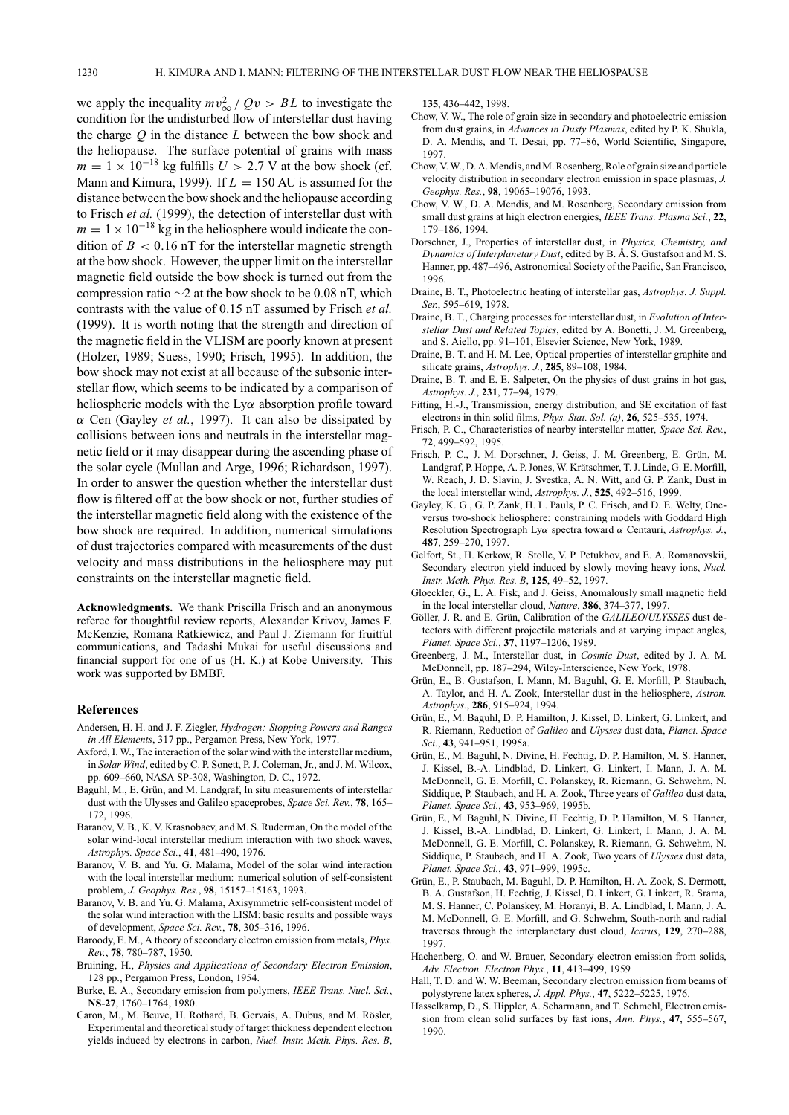we apply the inequality  $mv_{\infty}^2 / Qv > BL$  to investigate the condition for the undisturbed flow of interstellar dust having the charge *Q* in the distance *L* between the bow shock and the heliopause. The surface potential of grains with mass  $m = 1 \times 10^{-18}$  kg fulfills  $U > 2.7$  V at the bow shock (cf. Mann and Kimura, 1999). If  $L = 150$  AU is assumed for the distance between the bow shock and the heliopause according to Frisch *et al.* (1999), the detection of interstellar dust with  $m = 1 \times 10^{-18}$  kg in the heliosphere would indicate the condition of  $B < 0.16$  nT for the interstellar magnetic strength at the bow shock. However, the upper limit on the interstellar magnetic field outside the bow shock is turned out from the compression ratio  $\sim$ 2 at the bow shock to be 0.08 nT, which contrasts with the value of 0.15 nT assumed by Frisch *et al.* (1999). It is worth noting that the strength and direction of the magnetic field in the VLISM are poorly known at present (Holzer, 1989; Suess, 1990; Frisch, 1995). In addition, the bow shock may not exist at all because of the subsonic interstellar flow, which seems to be indicated by a comparison of heliospheric models with the  $Ly\alpha$  absorption profile toward α Cen (Gayley *et al.*, 1997). It can also be dissipated by collisions between ions and neutrals in the interstellar magnetic field or it may disappear during the ascending phase of the solar cycle (Mullan and Arge, 1996; Richardson, 1997). In order to answer the question whether the interstellar dust flow is filtered off at the bow shock or not, further studies of the interstellar magnetic field along with the existence of the bow shock are required. In addition, numerical simulations of dust trajectories compared with measurements of the dust velocity and mass distributions in the heliosphere may put constraints on the interstellar magnetic field.

**Acknowledgments.** We thank Priscilla Frisch and an anonymous referee for thoughtful review reports, Alexander Krivov, James F. McKenzie, Romana Ratkiewicz, and Paul J. Ziemann for fruitful communications, and Tadashi Mukai for useful discussions and financial support for one of us (H. K.) at Kobe University. This work was supported by BMBF.

#### **References**

- Andersen, H. H. and J. F. Ziegler, *Hydrogen: Stopping Powers and Ranges in All Elements*, 317 pp., Pergamon Press, New York, 1977.
- Axford, I. W., The interaction of the solar wind with the interstellar medium, in *Solar Wind*, edited by C. P. Sonett, P. J. Coleman, Jr., and J. M. Wilcox, pp. 609–660, NASA SP-308, Washington, D. C., 1972.
- Baguhl, M., E. Grün, and M. Landgraf, In situ measurements of interstellar dust with the Ulysses and Galileo spaceprobes, *Space Sci. Rev.*, **78**, 165– 172, 1996.
- Baranov, V. B., K. V. Krasnobaev, and M. S. Ruderman, On the model of the solar wind-local interstellar medium interaction with two shock waves, *Astrophys. Space Sci.*, **41**, 481–490, 1976.
- Baranov, V. B. and Yu. G. Malama, Model of the solar wind interaction with the local interstellar medium: numerical solution of self-consistent problem, *J. Geophys. Res.*, **98**, 15157–15163, 1993.
- Baranov, V. B. and Yu. G. Malama, Axisymmetric self-consistent model of the solar wind interaction with the LISM: basic results and possible ways of development, *Space Sci. Rev.*, **78**, 305–316, 1996.
- Baroody, E. M., A theory of secondary electron emission from metals, *Phys. Rev.*, **78**, 780–787, 1950.
- Bruining, H., *Physics and Applications of Secondary Electron Emission*, 128 pp., Pergamon Press, London, 1954.
- Burke, E. A., Secondary emission from polymers, *IEEE Trans. Nucl. Sci.*, **NS-27**, 1760–1764, 1980.
- Caron, M., M. Beuve, H. Rothard, B. Gervais, A. Dubus, and M. Rösler, Experimental and theoretical study of target thickness dependent electron yields induced by electrons in carbon, *Nucl. Instr. Meth. Phys. Res. B*,

**135**, 436–442, 1998.

- Chow, V. W., The role of grain size in secondary and photoelectric emission from dust grains, in *Advances in Dusty Plasmas*, edited by P. K. Shukla, D. A. Mendis, and T. Desai, pp. 77–86, World Scientific, Singapore, 1997.
- Chow, V.W., D. A.Mendis, andM. Rosenberg, Role of grain size and particle velocity distribution in secondary electron emission in space plasmas, *J. Geophys. Res.*, **98**, 19065–19076, 1993.
- Chow, V. W., D. A. Mendis, and M. Rosenberg, Secondary emission from small dust grains at high electron energies, *IEEE Trans. Plasma Sci.*, **22**, 179–186, 1994.
- Dorschner, J., Properties of interstellar dust, in *Physics, Chemistry, and Dynamics of Interplanetary Dust*, edited by B. Å. S. Gustafson and M. S. Hanner, pp. 487–496, Astronomical Society of the Pacific, San Francisco, 1996.
- Draine, B. T., Photoelectric heating of interstellar gas, *Astrophys. J. Suppl. Ser.*, 595–619, 1978.
- Draine, B. T., Charging processes for interstellar dust, in *Evolution of Interstellar Dust and Related Topics*, edited by A. Bonetti, J. M. Greenberg, and S. Aiello, pp. 91–101, Elsevier Science, New York, 1989.
- Draine, B. T. and H. M. Lee, Optical properties of interstellar graphite and silicate grains, *Astrophys. J.*, **285**, 89–108, 1984.
- Draine, B. T. and E. E. Salpeter, On the physics of dust grains in hot gas, *Astrophys. J.*, **231**, 77–94, 1979.
- Fitting, H.-J., Transmission, energy distribution, and SE excitation of fast electrons in thin solid films, *Phys. Stat. Sol. (a)*, **26**, 525–535, 1974.
- Frisch, P. C., Characteristics of nearby interstellar matter, *Space Sci. Rev.*, **72**, 499–592, 1995.
- Frisch, P. C., J. M. Dorschner, J. Geiss, J. M. Greenberg, E. Grün, M. Landgraf, P. Hoppe, A. P. Jones, W. Krätschmer, T. J. Linde, G. E. Morfill, W. Reach, J. D. Slavin, J. Svestka, A. N. Witt, and G. P. Zank, Dust in the local interstellar wind, *Astrophys. J.*, **525**, 492–516, 1999.
- Gayley, K. G., G. P. Zank, H. L. Pauls, P. C. Frisch, and D. E. Welty, Oneversus two-shock heliosphere: constraining models with Goddard High Resolution Spectrograph Lyα spectra toward α Centauri, *Astrophys. J.*, **487**, 259–270, 1997.
- Gelfort, St., H. Kerkow, R. Stolle, V. P. Petukhov, and E. A. Romanovskii, Secondary electron yield induced by slowly moving heavy ions, *Nucl. Instr. Meth. Phys. Res. B*, **125**, 49–52, 1997.
- Gloeckler, G., L. A. Fisk, and J. Geiss, Anomalously small magnetic field in the local interstellar cloud, *Nature*, **386**, 374–377, 1997.
- Göller, J. R. and E. Grün, Calibration of the GALILEO/*ULYSSES* dust detectors with different projectile materials and at varying impact angles, *Planet. Space Sci.*, **37**, 1197–1206, 1989.
- Greenberg, J. M., Interstellar dust, in *Cosmic Dust*, edited by J. A. M. McDonnell, pp. 187–294, Wiley-Interscience, New York, 1978.
- Grün, E., B. Gustafson, I. Mann, M. Baguhl, G. E. Morfill, P. Staubach, A. Taylor, and H. A. Zook, Interstellar dust in the heliosphere, *Astron. Astrophys.*, **286**, 915–924, 1994.
- Grün, E., M. Baguhl, D. P. Hamilton, J. Kissel, D. Linkert, G. Linkert, and R. Riemann, Reduction of *Galileo* and *Ulysses* dust data, *Planet. Space Sci.*, **43**, 941–951, 1995a.
- Grün, E., M. Baguhl, N. Divine, H. Fechtig, D. P. Hamilton, M. S. Hanner, J. Kissel, B.-A. Lindblad, D. Linkert, G. Linkert, I. Mann, J. A. M. McDonnell, G. E. Morfill, C. Polanskey, R. Riemann, G. Schwehm, N. Siddique, P. Staubach, and H. A. Zook, Three years of *Galileo* dust data, *Planet. Space Sci.*, **43**, 953–969, 1995b.
- Grün, E., M. Baguhl, N. Divine, H. Fechtig, D. P. Hamilton, M. S. Hanner, J. Kissel, B.-A. Lindblad, D. Linkert, G. Linkert, I. Mann, J. A. M. McDonnell, G. E. Morfill, C. Polanskey, R. Riemann, G. Schwehm, N. Siddique, P. Staubach, and H. A. Zook, Two years of *Ulysses* dust data, *Planet. Space Sci.*, **43**, 971–999, 1995c.
- Grün, E., P. Staubach, M. Baguhl, D. P. Hamilton, H. A. Zook, S. Dermott, B. A. Gustafson, H. Fechtig, J. Kissel, D. Linkert, G. Linkert, R. Srama, M. S. Hanner, C. Polanskey, M. Horanyi, B. A. Lindblad, I. Mann, J. A. M. McDonnell, G. E. Morfill, and G. Schwehm, South-north and radial traverses through the interplanetary dust cloud, *Icarus*, **129**, 270–288, 1997.
- Hachenberg, O. and W. Brauer, Secondary electron emission from solids, *Adv. Electron. Electron Phys.*, **11**, 413–499, 1959
- Hall, T. D. and W. W. Beeman, Secondary electron emission from beams of polystyrene latex spheres, *J. Appl. Phys.*, **47**, 5222–5225, 1976.
- Hasselkamp, D., S. Hippler, A. Scharmann, and T. Schmehl, Electron emission from clean solid surfaces by fast ions, *Ann. Phys.*, **47**, 555–567, 1990.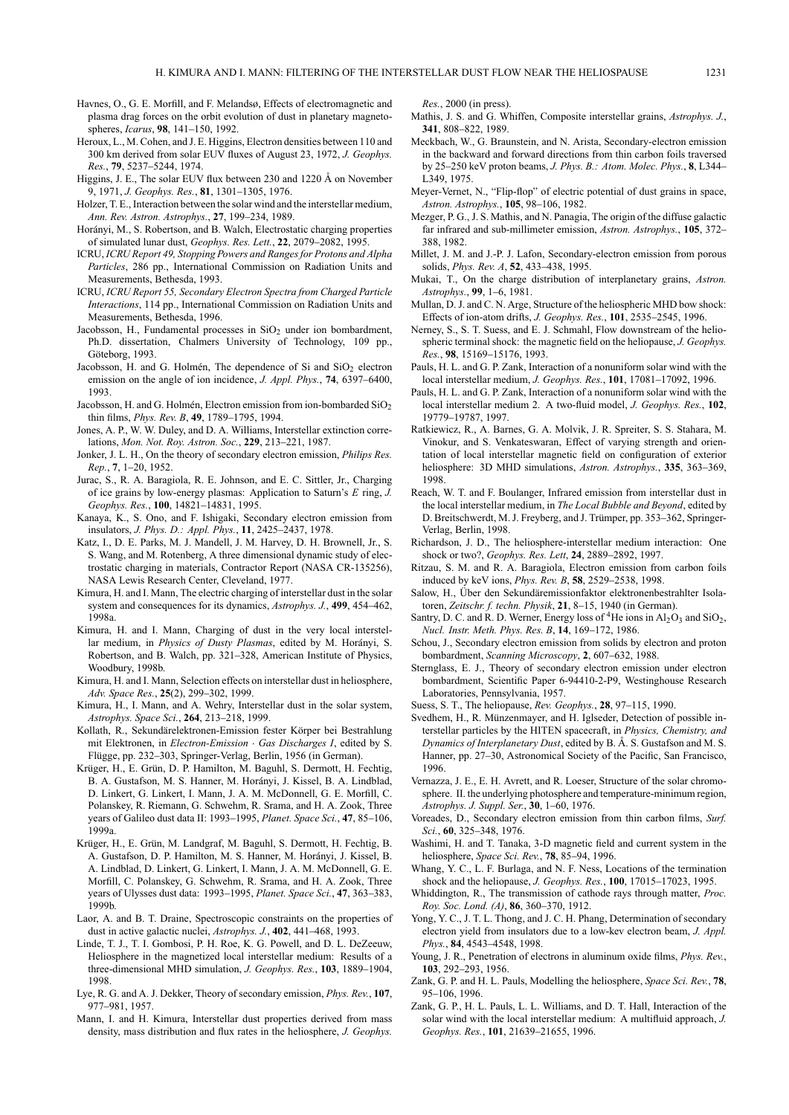- Havnes, O., G. E. Morfill, and F. Melandsø, Effects of electromagnetic and plasma drag forces on the orbit evolution of dust in planetary magnetospheres, *Icarus*, **98**, 141–150, 1992.
- Heroux, L., M. Cohen, and J. E. Higgins, Electron densities between 110 and 300 km derived from solar EUV fluxes of August 23, 1972, *J. Geophys. Res.*, **79**, 5237–5244, 1974.
- Higgins, J. E., The solar EUV flux between 230 and 1220  $\AA$  on November 9, 1971, *J. Geophys. Res.*, **81**, 1301–1305, 1976.
- Holzer, T. E., Interaction between the solar wind and the interstellar medium, *Ann. Rev. Astron. Astrophys.*, **27**, 199–234, 1989.
- Horányi, M., S. Robertson, and B. Walch, Electrostatic charging properties of simulated lunar dust, *Geophys. Res. Lett.*, **22**, 2079–2082, 1995.
- ICRU, *ICRU Report 49, Stopping Powers and Ranges for Protons and Alpha Particles*, 286 pp., International Commission on Radiation Units and Measurements, Bethesda, 1993.
- ICRU, *ICRU Report 55, Secondary Electron Spectra from Charged Particle Interactions*, 114 pp., International Commission on Radiation Units and Measurements, Bethesda, 1996.
- Jacobsson, H., Fundamental processes in  $SiO<sub>2</sub>$  under ion bombardment, Ph.D. dissertation, Chalmers University of Technology, 109 pp., Göteborg, 1993.
- Jacobsson, H. and G. Holmén, The dependence of Si and SiO<sub>2</sub> electron emission on the angle of ion incidence, *J. Appl. Phys.*, **74**, 6397–6400, 1993.
- Jacobsson, H. and G. Holmén, Electron emission from ion-bombarded  $SiO<sub>2</sub>$ thin films, *Phys. Rev. B*, **49**, 1789–1795, 1994.
- Jones, A. P., W. W. Duley, and D. A. Williams, Interstellar extinction correlations, *Mon. Not. Roy. Astron. Soc.*, **229**, 213–221, 1987.
- Jonker, J. L. H., On the theory of secondary electron emission, *Philips Res. Rep.*, **7**, 1–20, 1952.
- Jurac, S., R. A. Baragiola, R. E. Johnson, and E. C. Sittler, Jr., Charging of ice grains by low-energy plasmas: Application to Saturn's *E* ring, *J. Geophys. Res.*, **100**, 14821–14831, 1995.
- Kanaya, K., S. Ono, and F. Ishigaki, Secondary electron emission from insulators, *J. Phys. D.: Appl. Phys.*, **11**, 2425–2437, 1978.
- Katz, I., D. E. Parks, M. J. Mandell, J. M. Harvey, D. H. Brownell, Jr., S. S. Wang, and M. Rotenberg, A three dimensional dynamic study of electrostatic charging in materials, Contractor Report (NASA CR-135256), NASA Lewis Research Center, Cleveland, 1977.
- Kimura, H. and I. Mann, The electric charging of interstellar dust in the solar system and consequences for its dynamics, *Astrophys. J.*, **499**, 454–462, 1998a.
- Kimura, H. and I. Mann, Charging of dust in the very local interstellar medium, in *Physics of Dusty Plasmas*, edited by M. Horányi, S. Robertson, and B. Walch, pp. 321–328, American Institute of Physics, Woodbury, 1998b.
- Kimura, H. and I. Mann, Selection effects on interstellar dust in heliosphere, *Adv. Space Res.*, **25**(2), 299–302, 1999.
- Kimura, H., I. Mann, and A. Wehry, Interstellar dust in the solar system, *Astrophys. Space Sci.*, **264**, 213–218, 1999.
- Kollath, R., Sekundärelektronen-Emission fester Körper bei Bestrahlung mit Elektronen, in *Electron-Emission* · *Gas Discharges I*, edited by S. Flügge, pp. 232–303, Springer-Verlag, Berlin, 1956 (in German).
- Krüger, H., E. Grün, D. P. Hamilton, M. Baguhl, S. Dermott, H. Fechtig, B. A. Gustafson, M. S. Hanner, M. Horányi, J. Kissel, B. A. Lindblad, D. Linkert, G. Linkert, I. Mann, J. A. M. McDonnell, G. E. Morfill, C. Polanskey, R. Riemann, G. Schwehm, R. Srama, and H. A. Zook, Three years of Galileo dust data II: 1993–1995, *Planet. Space Sci.*, **47**, 85–106, 1999a.
- Krüger, H., E. Grün, M. Landgraf, M. Baguhl, S. Dermott, H. Fechtig, B. A. Gustafson, D. P. Hamilton, M. S. Hanner, M. Horányi, J. Kissel, B. A. Lindblad, D. Linkert, G. Linkert, I. Mann, J. A. M. McDonnell, G. E. Morfill, C. Polanskey, G. Schwehm, R. Srama, and H. A. Zook, Three years of Ulysses dust data: 1993–1995, *Planet. Space Sci.*, **47**, 363–383, 1999b.
- Laor, A. and B. T. Draine, Spectroscopic constraints on the properties of dust in active galactic nuclei, *Astrophys. J.*, **402**, 441–468, 1993.
- Linde, T. J., T. I. Gombosi, P. H. Roe, K. G. Powell, and D. L. DeZeeuw, Heliosphere in the magnetized local interstellar medium: Results of a three-dimensional MHD simulation, *J. Geophys. Res.*, **103**, 1889–1904, 1998.
- Lye, R. G. and A. J. Dekker, Theory of secondary emission, *Phys. Rev.*, **107**, 977–981, 1957.
- Mann, I. and H. Kimura, Interstellar dust properties derived from mass density, mass distribution and flux rates in the heliosphere, *J. Geophys.*

*Res.*, 2000 (in press).

- Mathis, J. S. and G. Whiffen, Composite interstellar grains, *Astrophys. J.*, **341**, 808–822, 1989.
- Meckbach, W., G. Braunstein, and N. Arista, Secondary-electron emission in the backward and forward directions from thin carbon foils traversed by 25–250 keV proton beams, *J. Phys. B.: Atom. Molec. Phys.*, **8**, L344– L349, 1975.
- Meyer-Vernet, N., "Flip-flop" of electric potential of dust grains in space, *Astron. Astrophys.*, **105**, 98–106, 1982.
- Mezger, P. G., J. S. Mathis, and N. Panagia, The origin of the diffuse galactic far infrared and sub-millimeter emission, *Astron. Astrophys.*, **105**, 372– 388, 1982.
- Millet, J. M. and J.-P. J. Lafon, Secondary-electron emission from porous solids, *Phys. Rev. A*, **52**, 433–438, 1995.
- Mukai, T., On the charge distribution of interplanetary grains, *Astron. Astrophys.*, **99**, 1–6, 1981.
- Mullan, D. J. and C. N. Arge, Structure of the heliospheric MHD bow shock: Effects of ion-atom drifts, *J. Geophys. Res.*, **101**, 2535–2545, 1996.
- Nerney, S., S. T. Suess, and E. J. Schmahl, Flow downstream of the heliospheric terminal shock: the magnetic field on the heliopause, *J. Geophys. Res.*, **98**, 15169–15176, 1993.
- Pauls, H. L. and G. P. Zank, Interaction of a nonuniform solar wind with the local interstellar medium, *J. Geophys. Res.*, **101**, 17081–17092, 1996.
- Pauls, H. L. and G. P. Zank, Interaction of a nonuniform solar wind with the local interstellar medium 2. A two-fluid model, *J. Geophys. Res.*, **102**, 19779–19787, 1997.
- Ratkiewicz, R., A. Barnes, G. A. Molvik, J. R. Spreiter, S. S. Stahara, M. Vinokur, and S. Venkateswaran, Effect of varying strength and orientation of local interstellar magnetic field on configuration of exterior heliosphere: 3D MHD simulations, *Astron. Astrophys.*, **335**, 363–369, 1998.
- Reach, W. T. and F. Boulanger, Infrared emission from interstellar dust in the local interstellar medium, in *The Local Bubble and Beyond*, edited by D. Breitschwerdt, M. J. Freyberg, and J. Trümper, pp. 353-362, Springer-Verlag, Berlin, 1998.
- Richardson, J. D., The heliosphere-interstellar medium interaction: One shock or two?, *Geophys. Res. Lett*, **24**, 2889–2892, 1997.
- Ritzau, S. M. and R. A. Baragiola, Electron emission from carbon foils induced by keV ions, *Phys. Rev. B*, **58**, 2529–2538, 1998.
- Salow, H., Über den Sekundäremissionfaktor elektronenbestrahlter Isolatoren, *Zeitschr. f. techn. Physik*, **21**, 8–15, 1940 (in German).
- Santry, D. C. and R. D. Werner, Energy loss of <sup>4</sup>He ions in  $Al_2O_3$  and SiO<sub>2</sub>, *Nucl. Instr. Meth. Phys. Res. B*, **14**, 169–172, 1986.
- Schou, J., Secondary electron emission from solids by electron and proton bombardment, *Scanning Microscopy*, **2**, 607–632, 1988.
- Sternglass, E. J., Theory of secondary electron emission under electron bombardment, Scientific Paper 6-94410-2-P9, Westinghouse Research Laboratories, Pennsylvania, 1957.
- Suess, S. T., The heliopause, *Rev. Geophys.*, **28**, 97–115, 1990.
- Svedhem, H., R. Münzenmayer, and H. Iglseder, Detection of possible interstellar particles by the HITEN spacecraft, in *Physics, Chemistry, and Dynamics of Interplanetary Dust*, edited by B. Å. S. Gustafson and M. S. Hanner, pp. 27–30, Astronomical Society of the Pacific, San Francisco, 1996.
- Vernazza, J. E., E. H. Avrett, and R. Loeser, Structure of the solar chromosphere. II. the underlying photosphere and temperature-minimum region, *Astrophys. J. Suppl. Ser.*, **30**, 1–60, 1976.
- Voreades, D., Secondary electron emission from thin carbon films, *Surf. Sci.*, **60**, 325–348, 1976.
- Washimi, H. and T. Tanaka, 3-D magnetic field and current system in the heliosphere, *Space Sci. Rev.*, **78**, 85–94, 1996.
- Whang, Y. C., L. F. Burlaga, and N. F. Ness, Locations of the termination shock and the heliopause, *J. Geophys. Res.*, **100**, 17015–17023, 1995.
- Whiddington, R., The transmission of cathode rays through matter, *Proc. Roy. Soc. Lond. (A)*, **86**, 360–370, 1912.
- Yong, Y. C., J. T. L. Thong, and J. C. H. Phang, Determination of secondary electron yield from insulators due to a low-kev electron beam, *J. Appl. Phys.*, **84**, 4543–4548, 1998.
- Young, J. R., Penetration of electrons in aluminum oxide films, *Phys. Rev.*, **103**, 292–293, 1956.
- Zank, G. P. and H. L. Pauls, Modelling the heliosphere, *Space Sci. Rev.*, **78**, 95–106, 1996.
- Zank, G. P., H. L. Pauls, L. L. Williams, and D. T. Hall, Interaction of the solar wind with the local interstellar medium: A multifluid approach, *J. Geophys. Res.*, **101**, 21639–21655, 1996.